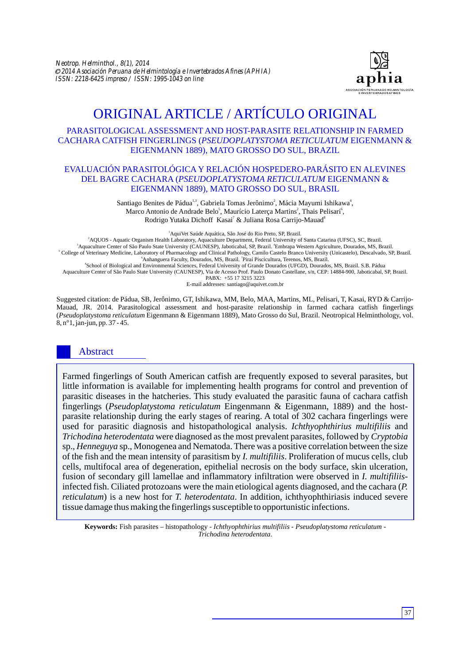

# ORIGINAL ARTICLE / ARTÍCULO ORIGINAL

# PARASITOLOGICAL ASSESSMENT AND HOST-PARASITE RELATIONSHIP IN FARMED CACHARA CATFISH FINGERLINGS (*PSEUDOPLATYSTOMA RETICULATUM* EIGENMANN & EIGENMANN 1889), MATO GROSSO DO SUL, BRAZIL

## EVALUACIÓN PARASITOLÓGICA Y RELACIÓN HOSPEDERO-PARÁSITO EN ALEVINES DEL BAGRE CACHARA (*PSEUDOPLATYSTOMA RETICULATUM* EIGENMANN & EIGENMANN 1889), MATO GROSSO DO SUL, BRASIL

Santiago Benites de Pádua<sup>1,3</sup>, Gabriela Tomas Jerônimo<sup>2</sup>, Mácia Mayumi Ishikawa<sup>4</sup>, Marco Antonio de Andrade Belo<sup>5</sup>, Maurício Laterça Martins<sup>2</sup>, Thais Pelisari<sup>6</sup>, Rodrigo Yutaka Dichoff Kasai<sup>7</sup> & Juliana Rosa Carrijo-Mauad<sup>8</sup>

<sup>1</sup>AquiVet Saúde Aquática, São José do Rio Preto, SP, Brazil.

AQUOS - Aquatic Organism Health Laboratory, Aquaculture Department, Federal University of Santa Catarina (UFSC), SC, Brazil. <sup>4</sup> Aquaculture Center of São Paulo State University (CAUNESP), Jaboticabal, SP, Brazil. Embrapa Western Agriculture, Dourados, MS, Brazil. College of Veterinary Medicine, Laboratory of Pharmacology and Clinical Pathology, Camilo Castelo Branco University (Unicastelo), Descalvado, SP, Brazil. <sup>6</sup> Anhanguera Faculty, Dourados, MS, Brazil. <sup>7</sup> Piraí Piscicultura, Terenos, MS, Brazil.

8 School of Biological and Environmental Sciences, Federal University of Grande Dourados (UFGD), Dourados, MS, Brazil. S.B. Pádua Aquaculture Center of São Paulo State University (CAUNESP), Via de Acesso Prof. Paulo Donato Castellane, s/n, CEP: 14884-900, Jaboticabal, SP, Brazil. PABX: +55 17 3215 3223

E-mail addresses: santiago@aquivet.com.br

Suggested citation: de Pádua, SB, Jerônimo, GT, Ishikawa, MM, Belo, MAA, Martins, ML, Pelisari, T, Kasai, RYD & Carrijo-Mauad, JR. 2014. Parasitological assessment and host-parasite relationship in farmed cachara catfish fingerlings (*Pseudoplatystoma reticulatum* Eigenmann & Eigenmann 1889), Mato Grosso do Sul, Brazil. Neotropical Helminthology, vol. 8, n°1, jan-jun, pp. 37 - 45.

# Abstract

Farmed fingerlings of South American catfish are frequently exposed to several parasites, but little information is available for implementing health programs for control and prevention of parasitic diseases in the hatcheries. This study evaluated the parasitic fauna of cachara catfish fingerlings (*Pseudoplatystoma reticulatum* Eingenmann & Eigenmann, 1889) and the hostparasite relationship during the early stages of rearing. A total of 302 cachara fingerlings were used for parasitic diagnosis and histopathological analysis. *Ichthyophthirius multifiliis* and *Trichodina heterodentata* were diagnosed as the most prevalent parasites, followed by *Cryptobia*  sp., *Henneguya* sp., Monogenea and Nematoda. There was a positive correlation between the size of the fish and the mean intensity of parasitism by *I. multifiliis*. Proliferation of mucus cells, club cells, multifocal area of degeneration, epithelial necrosis on the body surface, skin ulceration, fusion of secondary gill lamellae and inflammatory infiltration were observed in *I. multifiliis*infected fish. Ciliated protozoans were the main etiological agents diagnosed, and the cachara (*P. reticulatum*) is a new host for *T. heterodentata*. In addition, ichthyophthiriasis induced severe tissue damage thus making the fingerlings susceptible to opportunistic infections.

**Keywords:** Fish parasites – histopathology - *Ichthyophthirius multifiliis* - *Pseudoplatystoma reticulatum* - *Trichodina heterodentata*.

37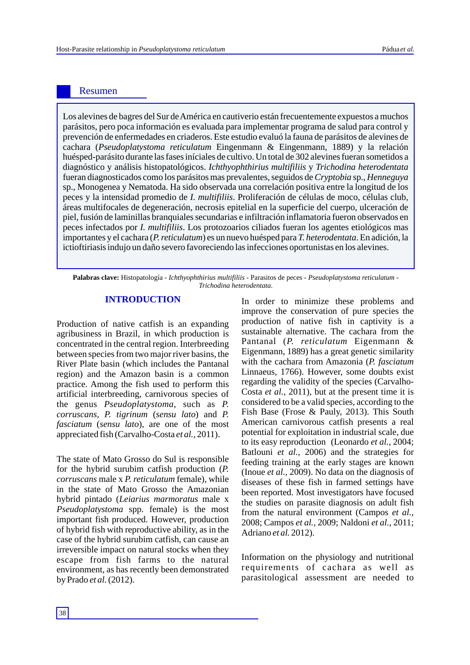# Resumen

Los alevines de bagres del Sur de América en cautiverio están frecuentemente expuestos a muchos parásitos, pero poca información es evaluada para implementar programa de salud para control y prevención de enfermedades en criaderos. Este estudio evaluó la fauna de parásitos de alevines de cachara (*Pseudoplatystoma reticulatum* Eingenmann & Eingenmann, 1889) y la relación huésped-parásito durante las fases iníciales de cultivo. Un total de 302 alevines fueran sometidos a diagnóstico y análisis histopatológicos. *Ichthyophthirius multifiliis* y *Trichodina heterodentata* fueran diagnosticados como los parásitos mas prevalentes, seguidos de *Cryptobia* sp., *Henneguya* sp., Monogenea y Nematoda. Ha sido observada una correlación positiva entre la longitud de los peces y la intensidad promedio de *I. multifiliis*. Proliferación de células de moco, células club, áreas multifocales de degeneración, necrosis epitelial en la superficie del cuerpo, ulceración de piel, fusión de laminillas branquiales secundarias e infiltración inflamatoria fueron observados en peces infectados por *I. multifiliis*. Los protozoarios ciliados fueran los agentes etiológicos mas importantes y el cachara (*P. reticulatum*) es un nuevo huésped para *T. heterodentata*. En adición, la ictioftiriasis indujo un daño severo favoreciendo las infecciones oportunistas en los alevines.

**Palabras clave:**  Histopatología - *Ichthyophthirius multifiliis* - Parasitos de peces - *Pseudoplatystoma reticulatum* - *Trichodina heterodentata*.

# **INTRODUCTION**

Production of native catfish is an expanding agribusiness in Brazil, in which production is concentrated in the central region. Interbreeding between species from two major river basins, the River Plate basin (which includes the Pantanal region) and the Amazon basin is a common practice. Among the fish used to perform this artificial interbreeding, carnivorous species of the genus *Pseudoplatystoma*, such as *P. corruscans, P. tigrinum* (*sensu lato*) and *P. fasciatum* (*sensu lato*), are one of the most appreciated fish (Carvalho-Costa *et al.,* 2011).

The state of Mato Grosso do Sul is responsible for the hybrid surubim catfish production (*P. corruscans* male x *P. reticulatum* female), while in the state of Mato Grosso the Amazonian hybrid pintado (*Leiarius marmoratus* male x *Pseudoplatystoma* spp. female) is the most important fish produced. However, production of hybrid fish with reproductive ability, as in the case of the hybrid surubim catfish, can cause an irreversible impact on natural stocks when they escape from fish farms to the natural environment, as has recently been demonstrated by Prado *et al.*(2012).

In order to minimize these problems and improve the conservation of pure species the production of native fish in captivity is a sustainable alternative. The cachara from the Pantanal (*P. reticulatum* Eigenmann & Eigenmann, 1889) has a great genetic similarity with the cachara from Amazonia (*P. fasciatum* Linnaeus, 1766). However, some doubts exist regarding the validity of the species (Carvalho-Costa *et al.,* 2011), but at the present time it is considered to be a valid species, according to the Fish Base (Frose & Pauly, 2013). This South American carnivorous catfish presents a real potential for exploitation in industrial scale, due to its easy reproduction (Leonardo *et al.,* 2004; Batlouni *et al.,* 2006) and the strategies for feeding training at the early stages are known (Inoue *et al.,* 2009). No data on the diagnosis of diseases of these fish in farmed settings have been reported. Most investigators have focused the studies on parasite diagnosis on adult fish from the natural environment (Campos *et al.,*  2008; Campos *et al.,* 2009; Naldoni *et al.,* 2011; Adriano *et al.* 2012).

Information on the physiology and nutritional requirements of cachara as well as parasitological assessment are needed to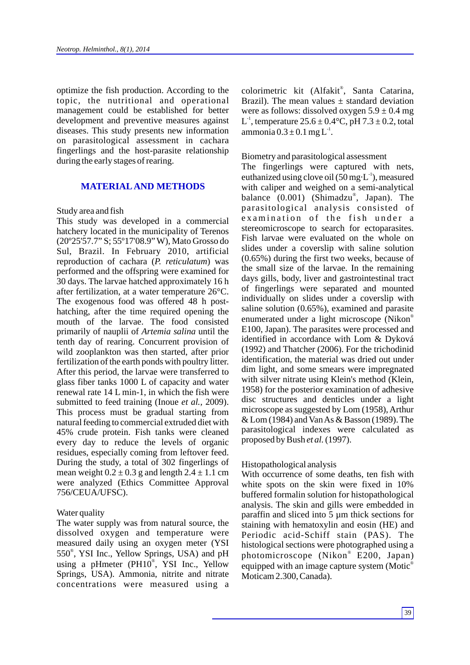optimize the fish production. According to the topic, the nutritional and operational management could be established for better development and preventive measures against diseases. This study presents new information on parasitological assessment in cachara fingerlings and the host-parasite relationship during the early stages of rearing.

# **MATERIALAND METHODS**

#### Study area and fish

This study was developed in a commercial hatchery located in the municipality of Terenos (20º25'57.7" S; 55º17'08.9" W), Mato Grosso do Sul, Brazil. In February 2010, artificial reproduction of cachara (*P. reticulatum*) was performed and the offspring were examined for 30 days. The larvae hatched approximately 16 h after fertilization, at a water temperature 26°C. The exogenous food was offered 48 h posthatching, after the time required opening the mouth of the larvae. The food consisted primarily of nauplii of *Artemia salina* until the tenth day of rearing. Concurrent provision of wild zooplankton was then started, after prior fertilization of the earth ponds with poultry litter. After this period, the larvae were transferred to glass fiber tanks 1000 L of capacity and water renewal rate 14 L min-1, in which the fish were submitted to feed training (Inoue *et al.,* 2009). This process must be gradual starting from natural feeding to commercial extruded diet with 45% crude protein. Fish tanks were cleaned every day to reduce the levels of organic residues, especially coming from leftover feed. During the study, a total of 302 fingerlings of mean weight  $0.2 \pm 0.3$  g and length  $2.4 \pm 1.1$  cm were analyzed (Ethics Committee Approval 756/CEUA/UFSC).

#### Water quality

The water supply was from natural source, the dissolved oxygen and temperature were measured daily using an oxygen meter (YSI 550<sup>®</sup>, YSI Inc., Yellow Springs, USA) and pH using a pHmeter (PH10<sup>®</sup>, YSI Inc., Yellow Springs, USA). Ammonia, nitrite and nitrate concentrations were measured using a

colorimetric kit (Alfakit®, Santa Catarina, Brazil). The mean values  $\pm$  standard deviation were as follows: dissolved oxygen  $5.9 \pm 0.4$  mg L<sup>1</sup>, temperature  $25.6 \pm 0.4$ °C, pH  $7.3 \pm 0.2$ , total ammonia  $0.3 \pm 0.1$  mg L<sup>1</sup>.

#### Biometry and parasitological assessment

The fingerlings were captured with nets, euthanized using clove oil (50 mg $\cdot$ L<sup>-1</sup>), measured with caliper and weighed on a semi-analytical balance (0.001) (Shimadzu®, Japan). The parasitological analysis consisted of examination of the fish under a stereomicroscope to search for ectoparasites. Fish larvae were evaluated on the whole on slides under a coverslip with saline solution (0.65%) during the first two weeks, because of the small size of the larvae. In the remaining days gills, body, liver and gastrointestinal tract of fingerlings were separated and mounted individually on slides under a coverslip with saline solution (0.65%), examined and parasite enumerated under a light microscope (Nikon<sup>®</sup> E100, Japan). The parasites were processed and identified in accordance with Lom & Dyková (1992) and Thatcher (2006). For the trichodinid identification, the material was dried out under dim light, and some smears were impregnated with silver nitrate using Klein's method (Klein, 1958) for the posterior examination of adhesive disc structures and denticles under a light microscope as suggested by Lom (1958), Arthur & Lom (1984) and Van As & Basson (1989). The parasitological indexes were calculated as proposed by Bush *et al.*(1997).

#### Histopathological analysis

With occurrence of some deaths, ten fish with white spots on the skin were fixed in 10% buffered formalin solution for histopathological analysis. The skin and gills were embedded in paraffin and sliced into 5 µm thick sections for staining with hematoxylin and eosin (HE) and Periodic acid-Schiff stain (PAS). The histological sections were photographed using a photomicroscope (Nikon® E200, Japan) equipped with an image capture system (Motic Moticam 2.300, Canada).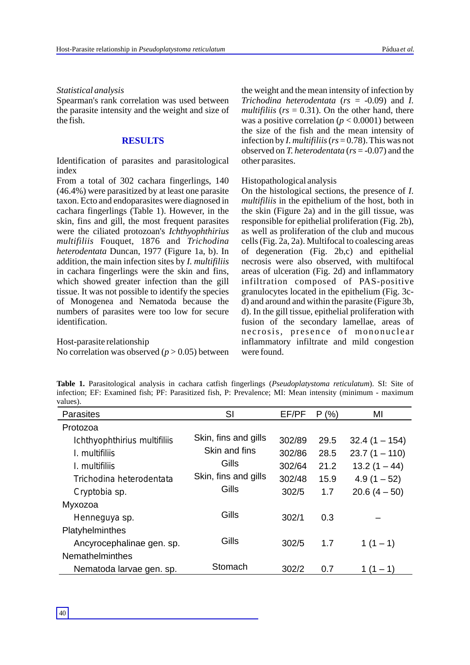#### *Statistical analysis*

Spearman's rank correlation was used between the parasite intensity and the weight and size of the fish.

#### **RESULTS**

Identification of parasites and parasitological index

From a total of 302 cachara fingerlings, 140 (46.4%) were parasitized by at least one parasite taxon. Ecto and endoparasites were diagnosed in cachara fingerlings (Table 1). However, in the skin, fins and gill, the most frequent parasites were the ciliated protozoan's *Ichthyophthirius multifiliis* Fouquet, 1876 and *Trichodina heterodentata* Duncan, 1977 (Figure 1a, b). In addition, the main infection sites by *I. multifiliis* in cachara fingerlings were the skin and fins, which showed greater infection than the gill tissue. It was not possible to identify the species of Monogenea and Nematoda because the numbers of parasites were too low for secure identification.

#### Host-parasite relationship

No correlation was observed  $(p > 0.05)$  between

the weight and the mean intensity of infection by *Trichodina heterodentata* (*rs* = -0.09) and *I. multifiliis* ( $rs = 0.31$ ). On the other hand, there was a positive correlation ( $p < 0.0001$ ) between the size of the fish and the mean intensity of infection by *I. multifiliis*(*rs* = 0.78). This was not observed on *T. heterodentata* (*rs* = -0.07) and the other parasites.

#### Histopathological analysis

On the histological sections, the presence of *I. multifiliis* in the epithelium of the host, both in the skin (Figure 2a) and in the gill tissue, was responsible for epithelial proliferation (Fig. 2b), as well as proliferation of the club and mucous cells (Fig. 2a, 2a). Multifocal to coalescing areas of degeneration (Fig. 2b,c) and epithelial necrosis were also observed, with multifocal areas of ulceration (Fig. 2d) and inflammatory infiltration composed of PAS-positive granulocytes located in the epithelium (Fig. 3cd) and around and within the parasite (Figure 3b, d). In the gill tissue, epithelial proliferation with fusion of the secondary lamellae, areas of necrosis, presence of mononuclear inflammatory infiltrate and mild congestion were found.

**Table 1.** Parasitological analysis in cachara catfish fingerlings (*Pseudoplatystoma reticulatum*). SI: Site of infection; EF: Examined fish; PF: Parasitized fish, P: Prevalence; MI: Mean intensity (minimum - maximum values).

| <b>Parasites</b>             | SI                   | EF/PF  | P(% ) | MI              |
|------------------------------|----------------------|--------|-------|-----------------|
| Protozoa                     |                      |        |       |                 |
| Ichthyophthirius multifiliis | Skin, fins and gills | 302/89 | 29.5  | $32.4(1 - 154)$ |
| I. multifiliis               | Skin and fins        | 302/86 | 28.5  | $23.7(1 - 110)$ |
| I. multifiliis               | Gills                | 302/64 | 21.2  | $13.2(1 - 44)$  |
| Trichodina heterodentata     | Skin, fins and gills | 302/48 | 15.9  | $4.9(1 - 52)$   |
| Cryptobia sp.                | Gills                | 302/5  | 1.7   | $20.6(4-50)$    |
| Myxozoa                      |                      |        |       |                 |
| Henneguya sp.                | Gills                | 302/1  | 0.3   |                 |
| Platyhelminthes              |                      |        |       |                 |
| Ancyrocephalinae gen. sp.    | Gills                | 302/5  | 1.7   | $1(1-1)$        |
| <b>Nemathelminthes</b>       |                      |        |       |                 |
| Nematoda larvae gen. sp.     | Stomach              | 302/2  | 0.7   | $1(1 - 1)$      |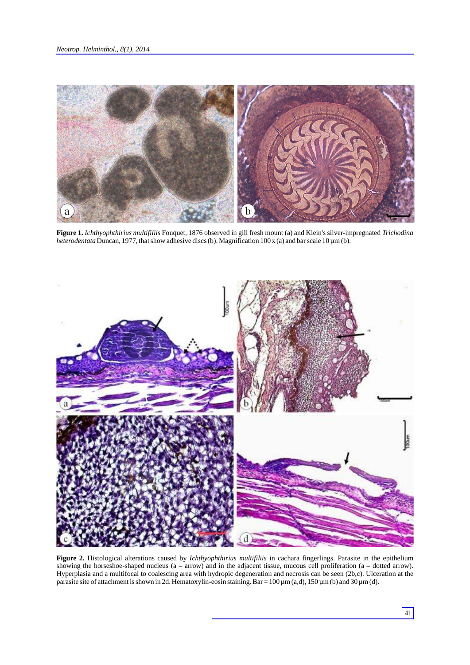

**Figure 1.** *Ichthyophthirius multifiliis* Fouquet, 1876 observed in gill fresh mount (a) and Klein's silver-impregnated *Trichodina heterodentata* Duncan, 1977, that show adhesive discs (b). Magnification 100 x (a) and bar scale 10 µm (b).



**Figure 2.** Histological alterations caused by *Ichthyophthirius multifiliis* in cachara fingerlings. Parasite in the epithelium showing the horseshoe-shaped nucleus (a – arrow) and in the adjacent tissue, mucous cell proliferation (a – dotted arrow). Hyperplasia and a multifocal to coalescing area with hydropic degeneration and necrosis can be seen (2b,c). Ulceration at the parasite site of attachment is shown in 2d. Hematoxylin-eosin staining. Bar = 100  $\mu$ m (a,d), 150  $\mu$ m (b) and 30  $\mu$ m (d).

41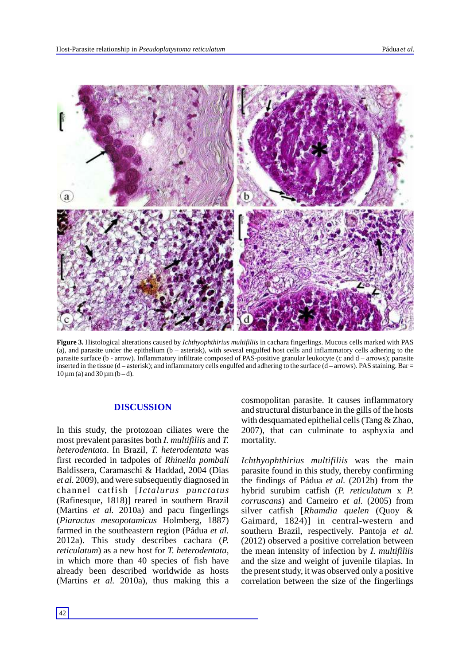

**Figure 3.** Histological alterations caused by *Ichthyophthirius multifiliis* in cachara fingerlings. Mucous cells marked with PAS (a), and parasite under the epithelium (b – asterisk), with several engulfed host cells and inflammatory cells adhering to the parasite surface (b - arrow). Inflammatory infiltrate composed of PAS-positive granular leukocyte (c and d – arrows); parasite inserted in the tissue (d – asterisk); and inflammatory cells engulfed and adhering to the surface (d – arrows). PAS staining. Bar =  $10 \mu m$  (a) and  $30 \mu m$  (b – d).

# **DISCUSSION**

In this study, the protozoan ciliates were the most prevalent parasites both *I. multifiliis* and *T. heterodentata*. In Brazil, *T. heterodentata* was first recorded in tadpoles of *Rhinella pombali*  Baldissera, Caramaschi & Haddad, 2004 (Dias *et al.* 2009), and were subsequently diagnosed in channel catfish [*Ictalurus punctatus* (Rafinesque, 1818)] reared in southern Brazil (Martins *et al.* 2010a) and pacu fingerlings (*Piaractus mesopotamicus* Holmberg, 1887) farmed in the southeastern region (Pádua *et al.*  2012a). This study describes cachara (*P. reticulatum*) as a new host for *T. heterodentata*, in which more than 40 species of fish have already been described worldwide as hosts (Martins *et al.* 2010a), thus making this a cosmopolitan parasite. It causes inflammatory and structural disturbance in the gills of the hosts with desquamated epithelial cells (Tang & Zhao, 2007), that can culminate to asphyxia and mortality.

*Ichthyophthirius multifiliis* was the main parasite found in this study, thereby confirming the findings of Pádua *et al.* (2012b) from the hybrid surubim catfish (*P. reticulatum* x *P. corruscans*) and Carneiro *et al.* (2005) from silver catfish [*Rhamdia quelen* (Quoy & Gaimard, 1824)] in central-western and southern Brazil, respectively. Pantoja *et al.* (2012) observed a positive correlation between the mean intensity of infection by *I. multifiliis* and the size and weight of juvenile tilapias. In the present study, it was observed only a positive correlation between the size of the fingerlings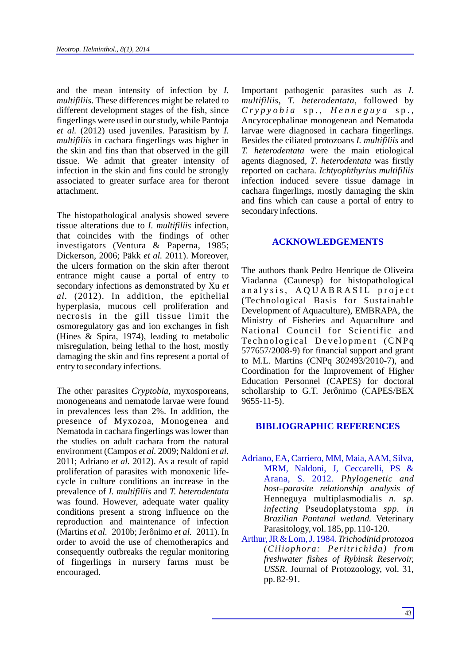and the mean intensity of infection by *I. multifiliis*. These differences might be related to different development stages of the fish, since fingerlings were used in our study, while Pantoja *et al.* (2012) used juveniles. Parasitism by *I. multifiliis* in cachara fingerlings was higher in the skin and fins than that observed in the gill tissue. We admit that greater intensity of infection in the skin and fins could be strongly associated to greater surface area for theront attachment.

The histopathological analysis showed severe tissue alterations due to *I. multifiliis* infection, that coincides with the findings of other investigators (Ventura & Paperna, 1985; Dickerson, 2006; Päkk *et al.* 2011). Moreover, the ulcers formation on the skin after theront entrance might cause a portal of entry to secondary infections as demonstrated by Xu *et al.* (2012). In addition, the epithelial hyperplasia, mucous cell proliferation and necrosis in the gill tissue limit the osmoregulatory gas and ion exchanges in fish (Hines & Spira, 1974), leading to metabolic misregulation, being lethal to the host, mostly damaging the skin and fins represent a portal of entry to secondary infections.

The other parasites *Cryptobia*, myxosporeans, monogeneans and nematode larvae were found in prevalences less than 2%. In addition, the presence of Myxozoa, Monogenea and Nematoda in cachara fingerlings was lower than the studies on adult cachara from the natural environment (Campos *et al.* 2009; Naldoni *et al.* 2011; Adriano *et al.* 2012). As a result of rapid proliferation of parasites with monoxenic lifecycle in culture conditions an increase in the prevalence of *I. multifiliis* and *T. heterodentata*  was found. However, adequate water quality conditions present a strong influence on the reproduction and maintenance of infection (Martins *et al.* 2010b; Jerônimo *et al.* 2011). In order to avoid the use of chemotherapics and consequently outbreaks the regular monitoring of fingerlings in nursery farms must be encouraged.

Important pathogenic parasites such as *I. multifiliis*, *T. heterodentata*, followed by *C r y p y o b i a* s p . , *H e n n e g u y a* s p . , Ancyrocephalinae monogenean and Nematoda larvae were diagnosed in cachara fingerlings. Besides the ciliated protozoans *I. multifiliis* and *T. heterodentata* were the main etiological agents diagnosed, *T*. *heterodentata* was firstly reported on cachara. *Ichtyophthyrius multifiliis* infection induced severe tissue damage in cachara fingerlings, mostly damaging the skin and fins which can cause a portal of entry to secondary infections.

## **ACKNOWLEDGEMENTS**

The authors thank Pedro Henrique de Oliveira Viadanna (Caunesp) for histopathological analysis. A QUABRASIL project (Technological Basis for Sustainable Development of Aquaculture), EMBRAPA, the Ministry of Fisheries and Aquaculture and National Council for Scientific and Technological Development (CNPq 577657/2008-9) for financial support and grant to M.L. Martins (CNPq 302493/2010-7), and Coordination for the Improvement of Higher Education Personnel (CAPES) for doctoral schollarship to G.T. Jerônimo (CAPES/BEX 9655-11-5).

#### **BIBLIOGRAPHIC REFERENCES**

- Adriano, EA, Carriero, MM, Maia, AAM, Silva, MRM, Naldoni, J, Ceccarelli, PS & Arana, S. 2012. *Phylogenetic and host–parasite relationship analysis of*  Henneguya multiplasmodialis *n. sp. infecting* Pseudoplatystoma *spp. in Brazilian Pantanal wetland.* Veterinary Parasitology, vol. 185, pp. 110-120.
- Arthur, JR & Lom, J. 1984. *Trichodinid protozoa (Ciliophora: Peritrichida) from freshwater fishes of Rybinsk Reservoir, USSR*. Journal of Protozoology, vol. 31, pp. 82-91.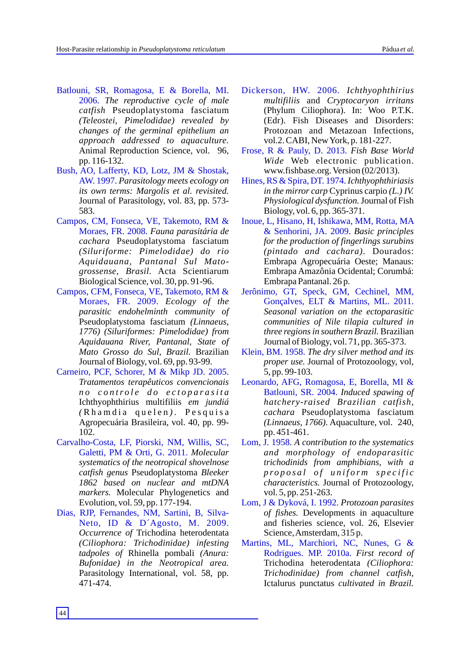- Batlouni, SR, Romagosa, E & Borella, MI. 2006. *The reproductive cycle of male catfish* Pseudoplatystoma fasciatum *(Teleostei, Pimelodidae) revealed by changes of the germinal epithelium an approach addressed to aquaculture.* Animal Reproduction Science, vol. 96, pp. 116-132.
- Bush, AO, Lafferty, KD, Lotz, JM & Shostak, AW. 1997. *Parasitology meets ecology on its own terms: Margolis et al. revisited.*  Journal of Parasitology, vol. 83, pp. 573- 583.
- Campos, CM, Fonseca, VE, Takemoto, RM & Moraes, FR. 2008. *Fauna parasitária de cachara* Pseudoplatystoma fasciatum *(Siluriforme: Pimelodidae) do rio Aquidauana, Pantanal Sul Matogrossense, Brasil.* Acta Scientiarum Biological Science, vol. 30, pp. 91-96.
- Campos, CFM, Fonseca, VE, Takemoto, RM & Moraes, FR. 2009. *Ecology of the parasitic endohelminth community of*  Pseudoplatystoma fasciatum *(Linnaeus, 1776) (Siluriformes: Pimelodidae) from Aquidauana River, Pantanal, State of Mato Grosso do Sul, Brazil.* Brazilian Journal of Biology, vol. 69, pp. 93-99.
- Carneiro, PCF, Schorer, M & Mikp JD. 2005. *Tratamentos terapêuticos convencionais n o c o n tr o l e d o e c t o p a r a si t a* Ichthyophthirius multifiliis *em jundiá (* R h a m d i a q u e l e n *) .* P e s q u is a Agropecuária Brasileira, vol. 40, pp. 99- 102.
- Carvalho-Costa, LF, Piorski, NM, Willis, SC, Galetti, PM & Orti, G. 2011. *Molecular systematics of the neotropical shovelnose catfish genus* Pseudoplatystoma *Bleeker 1862 based on nuclear and mtDNA markers.* Molecular Phylogenetics and Evolution, vol. 59, pp. 177-194.
- Dias, RJP, Fernandes, NM, Sartini, B, Silva-Neto, ID & D´Agosto, M. 2009. *Occurrence of* Trichodina heterodentata *(Ciliophora: Trichodinidae) infesting tadpoles of* Rhinella pombali *(Anura: Bufonidae) in the Neotropical area.* Parasitology International, vol. 58, pp. 471-474.
- Dickerson, HW. 2006. *Ichthyophthirius multifiliis* and *Cryptocaryon irritans* (Phylum Ciliophora). In: Woo P.T.K. (Edr). Fish Diseases and Disorders: Protozoan and Metazoan Infections, vol.2. CABI, New York, p. 181-227.
- Frose, R & Pauly, D. 2013. *Fish Base World Wide* Web electronic publication. www.fishbase.org. Version (02/2013).
- Hines, RS & Spira, DT. 1974. *Ichthyophthiriasis in the mirror carp* Cyprinus carpio *(L.) IV. Physiological dysfunction.*Journal of Fish Biology, vol. 6, pp. 365-371.
- Inoue, L, Hisano, H, Ishikawa, MM, Rotta, MA & Senhorini, JA. 2009. *Basic principles for the production of fingerlings surubins (pintado and cachara)*. Dourados: Embrapa Agropecuária Oeste; Manaus: Embrapa Amazônia Ocidental; Corumbá: Embrapa Pantanal. 26 p.
- Jerônimo, GT, Speck, GM, Cechinel, MM, Gonçalves, ELT & Martins, ML. 2011. *Seasonal variation on the ectoparasitic communities of Nile tilapia cultured in three regions in southern Brazil.* Brazilian Journal of Biology, vol. 71, pp. 365-373.
- Klein, BM. 1958. *The dry silver method and its proper use.* Journal of Protozoology, vol, 5, pp. 99-103.
- Leonardo, AFG, Romagosa, E, Borella, MI & Batlouni, SR. 2004. *Induced spawing of hatchery-raised Brazilian catfish, cachara* Pseudoplatystoma fasciatum *(Linnaeus, 1766).* Aquaculture, vol. 240, pp. 451-461.
- Lom, J. 1958. *A contribution to the systematics and morphology of endoparasitic trichodinids from amphibians, with a p ro p o s a l o f u n i f o r m s p e c i f i c characteristics.* Journal of Protozoology, vol. 5, pp. 251-263.
- Lom, J & Dyková, I. 1992. *Protozoan parasites of fishes.* Developments in aquaculture and fisheries science, vol. 26, Elsevier Science, Amsterdam, 315 p.
- Martins, ML, Marchiori, NC, Nunes, G & Rodrigues. MP. 2010a. *First record of*  Trichodina heterodentata *(Ciliophora: Trichodinidae) from channel catfish,* Ictalurus punctatus *cultivated in Brazil.*